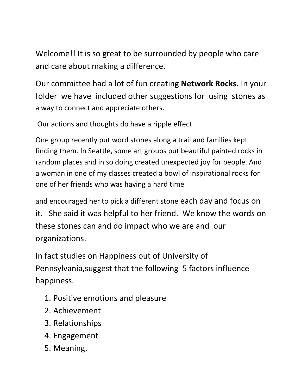Welcome!! It is so great to be surrounded by people who care and care about making a difference.

Our committee had a lot of fun creating **Network Rocks.** In your folder we have included other suggestions for using stones as a way to connect and appreciate others.

Our actions and thoughts do have a ripple effect.

One group recently put word stones along a trail and families kept finding them. In Seattle, some art groups put beautiful painted rocks in random places and in so doing created unexpected joy for people. And a woman in one of my classes created a bowl of inspirational rocks for one of her friends who was having a hard time

and encouraged her to pick a different stone each day and focus on it. She said it was helpful to her friend. We know the words on these stones can and do impact who we are and our organizations.

In fact studies on Happiness out of University of Pennsylvania,suggest that the following 5 factors influence happiness.

- 1. Positive emotions and pleasure
- 2. Achievement
- 3. Relationships
- 4. Engagement
- 5. Meaning.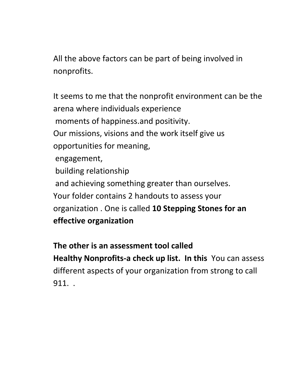All the above factors can be part of being involved in nonprofits.

It seems to me that the nonprofit environment can be the arena where individuals experience moments of happiness.and positivity. Our missions, visions and the work itself give us opportunities for meaning, engagement, building relationship and achieving something greater than ourselves. Your folder contains 2 handouts to assess your organization . One is called **10 Stepping Stones for an effective organization**

**The other is an assessment tool called Healthy Nonprofits-a check up list. In this** You can assess different aspects of your organization from strong to call 911. .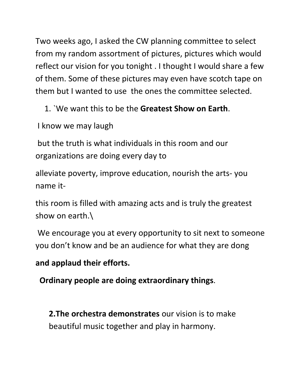Two weeks ago, I asked the CW planning committee to select from my random assortment of pictures, pictures which would reflect our vision for you tonight . I thought I would share a few of them. Some of these pictures may even have scotch tape on them but I wanted to use the ones the committee selected.

- 1. `We want this to be the **Greatest Show on Earth**.
- I know we may laugh

but the truth is what individuals in this room and our organizations are doing every day to

alleviate poverty, improve education, nourish the arts- you name it-

this room is filled with amazing acts and is truly the greatest show on earth.\

We encourage you at every opportunity to sit next to someone you don't know and be an audience for what they are dong

## **and applaud their efforts.**

 **Ordinary people are doing extraordinary things**.

**2.The orchestra demonstrates** our vision is to make beautiful music together and play in harmony.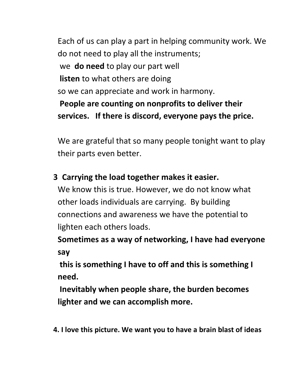Each of us can play a part in helping community work. We do not need to play all the instruments; we **do need** to play our part well **listen** to what others are doing so we can appreciate and work in harmony. **People are counting on nonprofits to deliver their services. If there is discord, everyone pays the price.**

We are grateful that so many people tonight want to play their parts even better.

## **3 Carrying the load together makes it easier.**

We know this is true. However, we do not know what other loads individuals are carrying. By building connections and awareness we have the potential to lighten each others loads.

**Sometimes as a way of networking, I have had everyone say**

**this is something I have to off and this is something I need.**

**Inevitably when people share, the burden becomes lighter and we can accomplish more.**

 **4. I love this picture. We want you to have a brain blast of ideas**